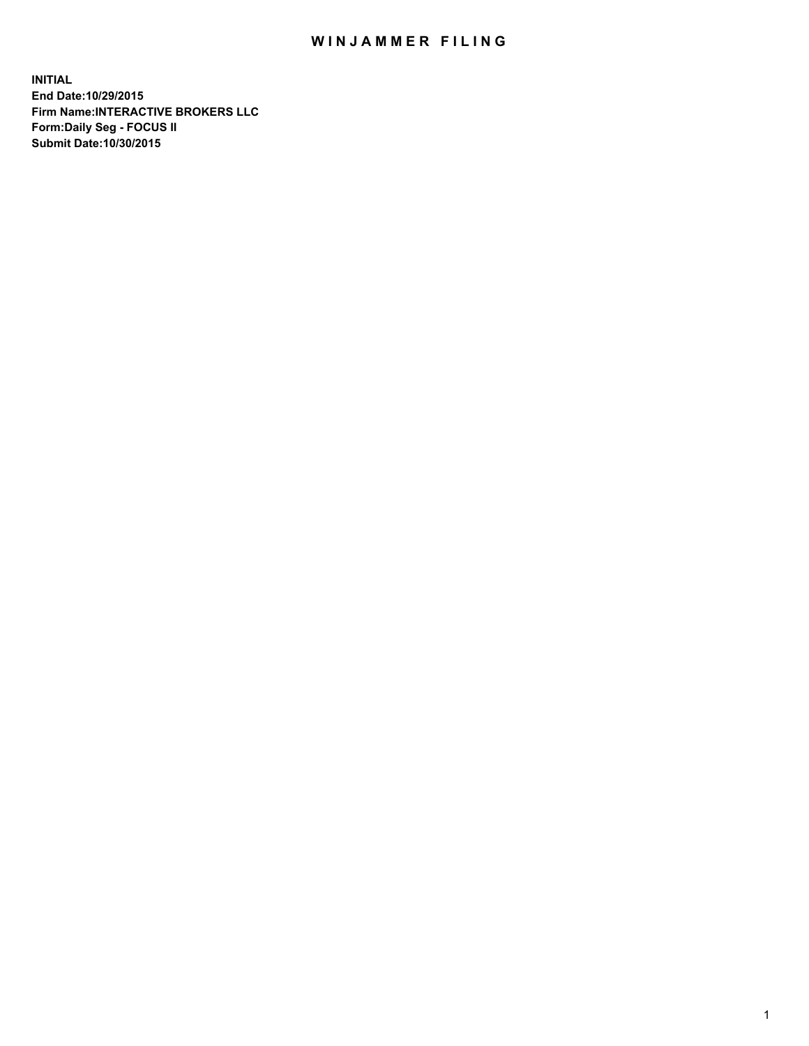## WIN JAMMER FILING

**INITIAL End Date:10/29/2015 Firm Name:INTERACTIVE BROKERS LLC Form:Daily Seg - FOCUS II Submit Date:10/30/2015**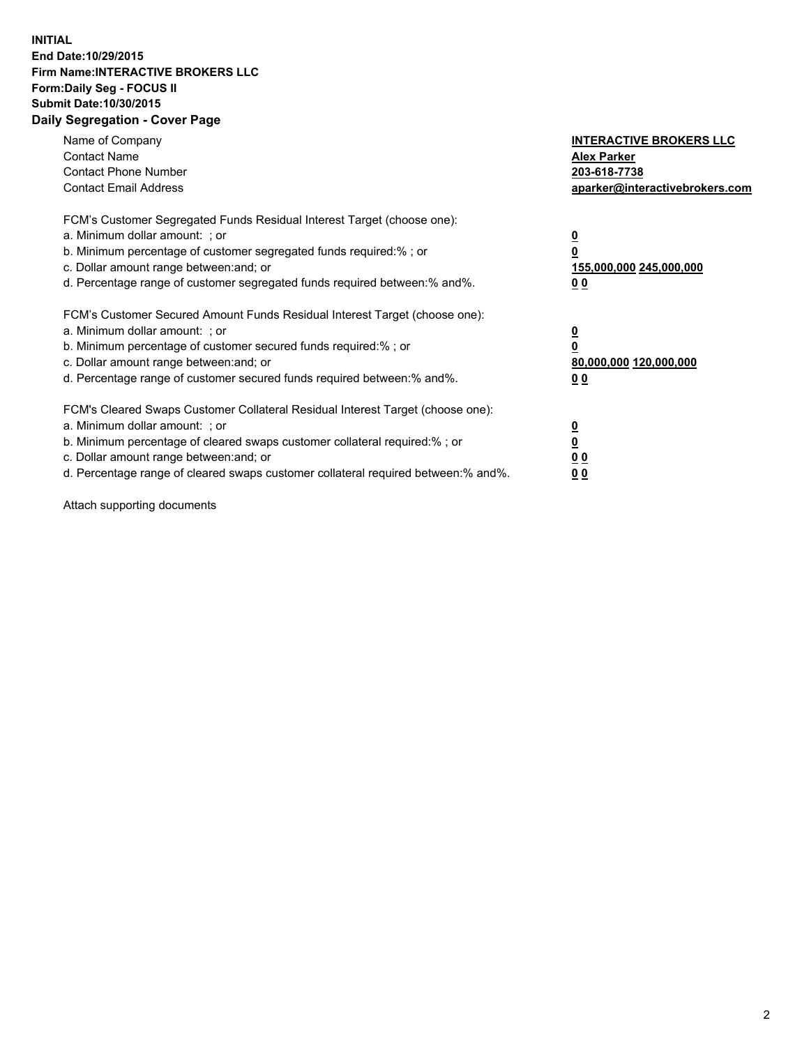## **INITIAL End Date:10/29/2015 Firm Name:INTERACTIVE BROKERS LLC Form:Daily Seg - FOCUS II Submit Date:10/30/2015 Daily Segregation - Cover Page**

| Name of Company<br><b>Contact Name</b><br><b>Contact Phone Number</b><br><b>Contact Email Address</b>                                                                                                                                                                                                                          | <b>INTERACTIVE BROKERS LLC</b><br><b>Alex Parker</b><br>203-618-7738<br>aparker@interactivebrokers.com |
|--------------------------------------------------------------------------------------------------------------------------------------------------------------------------------------------------------------------------------------------------------------------------------------------------------------------------------|--------------------------------------------------------------------------------------------------------|
| FCM's Customer Segregated Funds Residual Interest Target (choose one):<br>a. Minimum dollar amount: ; or<br>b. Minimum percentage of customer segregated funds required:% ; or<br>c. Dollar amount range between: and; or<br>d. Percentage range of customer segregated funds required between:% and%.                         | <u>0</u><br><u>155,000,000 245,000,000</u><br>00                                                       |
| FCM's Customer Secured Amount Funds Residual Interest Target (choose one):<br>a. Minimum dollar amount: ; or<br>b. Minimum percentage of customer secured funds required:%; or<br>c. Dollar amount range between: and; or<br>d. Percentage range of customer secured funds required between: % and %.                          | <u>0</u><br>80,000,000 120,000,000<br>0 <sub>0</sub>                                                   |
| FCM's Cleared Swaps Customer Collateral Residual Interest Target (choose one):<br>a. Minimum dollar amount: ; or<br>b. Minimum percentage of cleared swaps customer collateral required:% ; or<br>c. Dollar amount range between: and; or<br>d. Percentage range of cleared swaps customer collateral required between:% and%. | <u>0</u><br>0 <sub>0</sub><br><u>0 0</u>                                                               |

Attach supporting documents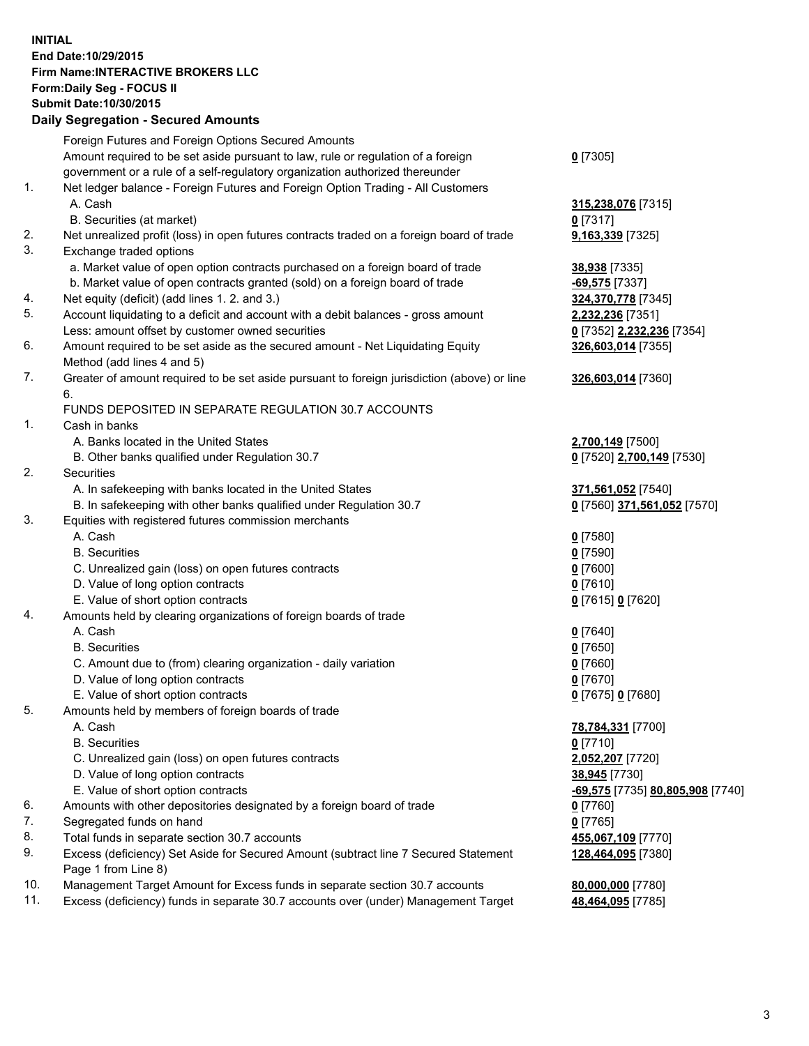## **INITIAL End Date:10/29/2015 Firm Name:INTERACTIVE BROKERS LLC Form:Daily Seg - FOCUS II Submit Date:10/30/2015 Daily Segregation - Secured Amounts**

|     | Foreign Futures and Foreign Options Secured Amounts                                         |                                  |
|-----|---------------------------------------------------------------------------------------------|----------------------------------|
|     | Amount required to be set aside pursuant to law, rule or regulation of a foreign            | $0$ [7305]                       |
|     | government or a rule of a self-regulatory organization authorized thereunder                |                                  |
| 1.  | Net ledger balance - Foreign Futures and Foreign Option Trading - All Customers             |                                  |
|     | A. Cash                                                                                     | 315,238,076 [7315]               |
|     | B. Securities (at market)                                                                   | $0$ [7317]                       |
| 2.  | Net unrealized profit (loss) in open futures contracts traded on a foreign board of trade   | 9,163,339 [7325]                 |
| 3.  | Exchange traded options                                                                     |                                  |
|     | a. Market value of open option contracts purchased on a foreign board of trade              |                                  |
|     |                                                                                             | 38,938 [7335]                    |
|     | b. Market value of open contracts granted (sold) on a foreign board of trade                | -69,575 [7337]                   |
| 4.  | Net equity (deficit) (add lines 1.2. and 3.)                                                | 324,370,778 [7345]               |
| 5.  | Account liquidating to a deficit and account with a debit balances - gross amount           | 2,232,236 [7351]                 |
|     | Less: amount offset by customer owned securities                                            | 0 [7352] 2,232,236 [7354]        |
| 6.  | Amount required to be set aside as the secured amount - Net Liquidating Equity              | 326,603,014 [7355]               |
|     | Method (add lines 4 and 5)                                                                  |                                  |
| 7.  | Greater of amount required to be set aside pursuant to foreign jurisdiction (above) or line | 326,603,014 [7360]               |
|     | 6.                                                                                          |                                  |
|     | FUNDS DEPOSITED IN SEPARATE REGULATION 30.7 ACCOUNTS                                        |                                  |
| 1.  | Cash in banks                                                                               |                                  |
|     | A. Banks located in the United States                                                       | 2,700,149 [7500]                 |
|     | B. Other banks qualified under Regulation 30.7                                              | 0 [7520] 2,700,149 [7530]        |
| 2.  | Securities                                                                                  |                                  |
|     | A. In safekeeping with banks located in the United States                                   | 371,561,052 [7540]               |
|     | B. In safekeeping with other banks qualified under Regulation 30.7                          | 0 [7560] 371,561,052 [7570]      |
| 3.  | Equities with registered futures commission merchants                                       |                                  |
|     | A. Cash                                                                                     | $0$ [7580]                       |
|     | <b>B.</b> Securities                                                                        | $0$ [7590]                       |
|     | C. Unrealized gain (loss) on open futures contracts                                         | $0$ [7600]                       |
|     | D. Value of long option contracts                                                           | $0$ [7610]                       |
|     | E. Value of short option contracts                                                          | 0 [7615] 0 [7620]                |
| 4.  | Amounts held by clearing organizations of foreign boards of trade                           |                                  |
|     | A. Cash                                                                                     | $0$ [7640]                       |
|     | <b>B.</b> Securities                                                                        | $0$ [7650]                       |
|     | C. Amount due to (from) clearing organization - daily variation                             | $0$ [7660]                       |
|     | D. Value of long option contracts                                                           | $0$ [7670]                       |
|     | E. Value of short option contracts                                                          | 0 [7675] 0 [7680]                |
| 5.  | Amounts held by members of foreign boards of trade                                          |                                  |
|     | A. Cash                                                                                     | 78,784,331 [7700]                |
|     | <b>B.</b> Securities                                                                        | $0$ [7710]                       |
|     | C. Unrealized gain (loss) on open futures contracts                                         | 2,052,207 [7720]                 |
|     | D. Value of long option contracts                                                           |                                  |
|     |                                                                                             | 38,945 [7730]                    |
|     | E. Value of short option contracts                                                          | -69,575 [7735] 80,805,908 [7740] |
| 6.  | Amounts with other depositories designated by a foreign board of trade                      | $0$ [7760]                       |
| 7.  | Segregated funds on hand                                                                    | $0$ [7765]                       |
| 8.  | Total funds in separate section 30.7 accounts                                               | 455,067,109 [7770]               |
| 9.  | Excess (deficiency) Set Aside for Secured Amount (subtract line 7 Secured Statement         | 128,464,095 [7380]               |
|     | Page 1 from Line 8)                                                                         |                                  |
| 10. | Management Target Amount for Excess funds in separate section 30.7 accounts                 | 80,000,000 [7780]                |
| 11. | Excess (deficiency) funds in separate 30.7 accounts over (under) Management Target          | 48,464,095 [7785]                |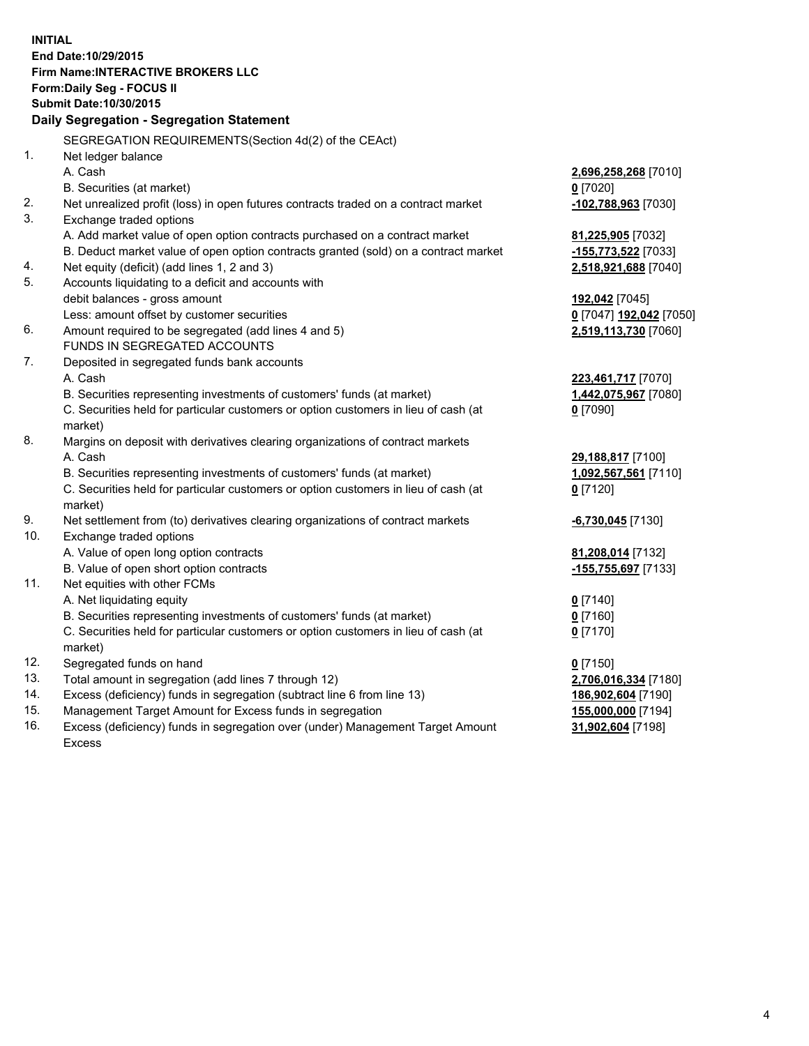**INITIAL End Date:10/29/2015 Firm Name:INTERACTIVE BROKERS LLC Form:Daily Seg - FOCUS II Submit Date:10/30/2015 Daily Segregation - Segregation Statement** SEGREGATION REQUIREMENTS(Section 4d(2) of the CEAct) 1. Net ledger balance A. Cash **2,696,258,268** [7010] B. Securities (at market) **0** [7020] 2. Net unrealized profit (loss) in open futures contracts traded on a contract market **-102,788,963** [7030] 3. Exchange traded options A. Add market value of open option contracts purchased on a contract market **81,225,905** [7032] B. Deduct market value of open option contracts granted (sold) on a contract market **-155,773,522** [7033] 4. Net equity (deficit) (add lines 1, 2 and 3) **2,518,921,688** [7040] 5. Accounts liquidating to a deficit and accounts with debit balances - gross amount **192,042** [7045] Less: amount offset by customer securities **0** [7047] **192,042** [7050] 6. Amount required to be segregated (add lines 4 and 5) **2,519,113,730** [7060] FUNDS IN SEGREGATED ACCOUNTS 7. Deposited in segregated funds bank accounts A. Cash **223,461,717** [7070] B. Securities representing investments of customers' funds (at market) **1,442,075,967** [7080] C. Securities held for particular customers or option customers in lieu of cash (at market) **0** [7090] 8. Margins on deposit with derivatives clearing organizations of contract markets A. Cash **29,188,817** [7100] B. Securities representing investments of customers' funds (at market) **1,092,567,561** [7110] C. Securities held for particular customers or option customers in lieu of cash (at market) **0** [7120] 9. Net settlement from (to) derivatives clearing organizations of contract markets **-6,730,045** [7130] 10. Exchange traded options A. Value of open long option contracts **81,208,014** [7132] B. Value of open short option contracts **-155,755,697** [7133] 11. Net equities with other FCMs A. Net liquidating equity **0** [7140] B. Securities representing investments of customers' funds (at market) **0** [7160] C. Securities held for particular customers or option customers in lieu of cash (at market) **0** [7170] 12. Segregated funds on hand **0** [7150] 13. Total amount in segregation (add lines 7 through 12) **2,706,016,334** [7180] 14. Excess (deficiency) funds in segregation (subtract line 6 from line 13) **186,902,604** [7190] 15. Management Target Amount for Excess funds in segregation **155,000,000** [7194]

16. Excess (deficiency) funds in segregation over (under) Management Target Amount Excess

**31,902,604** [7198]